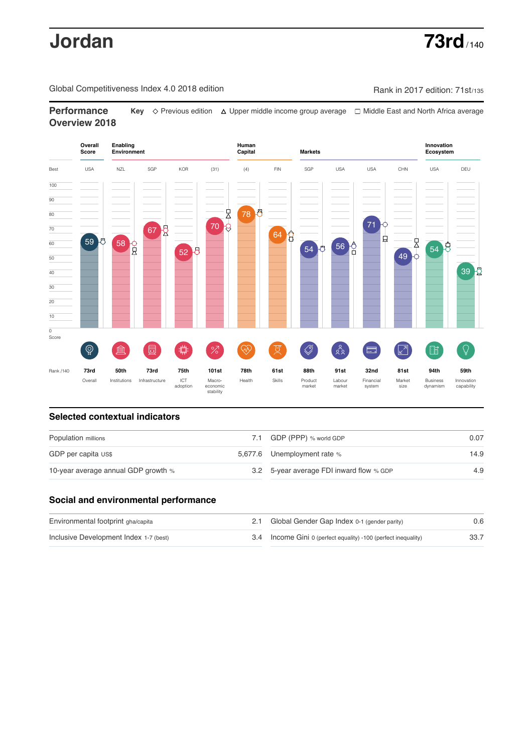# **Jordan 73rd** / 140

Global Competitiveness Index 4.0 2018 edition Company Company Rank in 2017 edition: 71st/135

**Performance Key**  $\Diamond$  Previous edition △ Upper middle income group average □ Middle East and North Africa average **Overview 2018**



## **Selected contextual indicators**

| Population millions                 |  | 7.1 GDP (PPP) % world GDP                | 0.07 |
|-------------------------------------|--|------------------------------------------|------|
| GDP per capita US\$                 |  | 5,677.6 Unemployment rate %              | 14.9 |
| 10-year average annual GDP growth % |  | 3.2 5-year average FDI inward flow % GDP | 4.9  |

### **Social and environmental performance**

| Environmental footprint gha/capita     | 2.1 Global Gender Gap Index 0-1 (gender parity)                | 0.6  |
|----------------------------------------|----------------------------------------------------------------|------|
| Inclusive Development Index 1-7 (best) | 3.4 Income Gini 0 (perfect equality) -100 (perfect inequality) | 33.7 |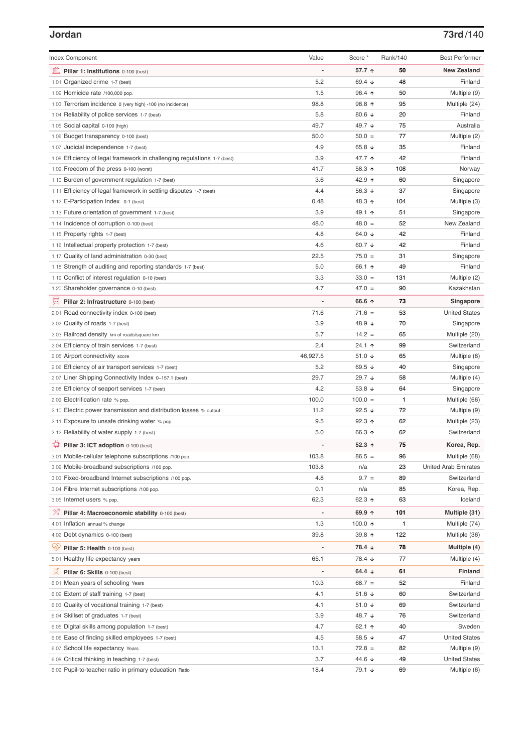## **Jordan 73rd**/140

| <b>Index Component</b>                                                   | Value          | Score *          | Rank/140     | <b>Best Performer</b>       |
|--------------------------------------------------------------------------|----------------|------------------|--------------|-----------------------------|
| Pillar 1: Institutions 0-100 (best)                                      |                | 57.7 ↑           | 50           | <b>New Zealand</b>          |
| 1.01 Organized crime 1-7 (best)                                          | 5.2            | 69.4 $\sqrt{ }$  | 48           | Finland                     |
| 1.02 Homicide rate /100,000 pop.                                         | 1.5            | $96.4$ ↑         | 50           | Multiple (9)                |
| 1.03 Terrorism incidence 0 (very high) -100 (no incidence)               | 98.8           | 98.8 ↑           | 95           | Multiple (24)               |
| 1.04 Reliability of police services 1-7 (best)                           | 5.8            | 80.6 $\sqrt{ }$  | 20           | Finland                     |
| 1.05 Social capital 0-100 (high)                                         | 49.7           | 49.7 ↓           | 75           | Australia                   |
| 1.06 Budget transparency 0-100 (best)                                    | 50.0           | $50.0 =$         | 77           | Multiple (2)                |
| 1.07 Judicial independence 1-7 (best)                                    | 4.9            | 65.8 $\sqrt{ }$  | 35           | Finland                     |
| 1.08 Efficiency of legal framework in challenging regulations 1-7 (best) | 3.9            | 47.7 ↑           | 42           | Finland                     |
| 1.09 Freedom of the press 0-100 (worst)                                  | 41.7           | 58.3 ↑           | 108          | Norway                      |
| 1.10 Burden of government regulation 1-7 (best)                          | 3.6            | 42.9 ↑           | 60           | Singapore                   |
| 1.11 Efficiency of legal framework in settling disputes 1-7 (best)       | 4.4            | 56.3 $\sqrt{ }$  | 37           | Singapore                   |
| 1.12 E-Participation Index 0-1 (best)                                    | 0.48           | 48.3 ↑           | 104          | Multiple (3)                |
| 1.13 Future orientation of government 1-7 (best)                         | 3.9            | 49.1 ↑           | 51           | Singapore                   |
| 1.14 Incidence of corruption 0-100 (best)                                | 48.0           | $48.0 =$         | 52           | New Zealand                 |
| 1.15 Property rights 1-7 (best)                                          | 4.8            | 64.0 ↓           | 42           | Finland                     |
| 1.16 Intellectual property protection 1-7 (best)                         | 4.6            | 60.7 $\sqrt{ }$  | 42           | Finland                     |
| 1.17 Quality of land administration 0-30 (best)                          | 22.5           | $75.0 =$         | 31           | Singapore                   |
| 1.18 Strength of auditing and reporting standards 1-7 (best)             | 5.0            | 66.1 ↑           | 49           | Finland                     |
| 1.19 Conflict of interest regulation 0-10 (best)                         | 3.3            | $33.0 =$         | 131          | Multiple (2)                |
| 1.20 Shareholder governance 0-10 (best)                                  | 4.7            | $47.0 =$         | 90           | Kazakhstan                  |
|                                                                          |                |                  |              |                             |
| 曼<br>Pillar 2: Infrastructure 0-100 (best)                               |                | 66.6 ↑           | 73           | Singapore                   |
| 2.01 Road connectivity index 0-100 (best)                                | 71.6           | $71.6 =$         | 53           | <b>United States</b>        |
| 2.02 Quality of roads 1-7 (best)                                         | 3.9            | 48.9 ↓           | 70           | Singapore                   |
| 2.03 Railroad density km of roads/square km                              | 5.7            | $14.2 =$         | 65           | Multiple (20)               |
| 2.04 Efficiency of train services 1-7 (best)                             | 2.4            | 24.1 ↑           | 99           | Switzerland                 |
| 2.05 Airport connectivity score                                          | 46,927.5       | 51.0 $\sqrt{ }$  | 65           | Multiple (8)                |
| 2.06 Efficiency of air transport services 1-7 (best)                     | 5.2            | 69.5 $\sqrt{ }$  | 40           | Singapore                   |
| 2.07 Liner Shipping Connectivity Index 0-157.1 (best)                    | 29.7           | 29.7 $\sqrt{ }$  | 58           | Multiple (4)                |
| 2.08 Efficiency of seaport services 1-7 (best)                           | 4.2            | 53.8 $\sqrt{ }$  | 64           | Singapore                   |
| 2.09 Electrification rate % pop.                                         | 100.0          | $100.0 =$        | $\mathbf{1}$ | Multiple (66)               |
| 2.10 Electric power transmission and distribution losses % output        | 11.2           | 92.5 $\sqrt{ }$  | 72           | Multiple (9)                |
| 2.11 Exposure to unsafe drinking water % pop.                            | 9.5            | $92.3$ ↑         | 62           | Multiple (23)               |
| 2.12 Reliability of water supply 1-7 (best)                              | 5.0            | 66.3 ↑           | 62           | Switzerland                 |
| ₽<br>Pillar 3: ICT adoption 0-100 (best)                                 |                | 52.3 $\uparrow$  | 75           | Korea, Rep.                 |
| 3.01 Mobile-cellular telephone subscriptions /100 pop.                   | 103.8          | $86.5 =$         | 96           | Multiple (68)               |
| 3.02 Mobile-broadband subscriptions /100 pop.                            | 103.8          | n/a              | 23           | <b>United Arab Emirates</b> |
| 3.03 Fixed-broadband Internet subscriptions /100 pop.                    | 4.8            | $9.7 =$          | 89           | Switzerland                 |
| 3.04 Fibre Internet subscriptions /100 pop.                              | 0.1            | n/a              | 85           | Korea, Rep.                 |
| 3.05 Internet users % pop.                                               | 62.3           | 62.3 ↑           | 63           | Iceland                     |
| <sup>%</sup> Pillar 4: Macroeconomic stability 0-100 (best)              | $\overline{a}$ | 69.9 ↑           | 101          | Multiple (31)               |
| 4.01 Inflation annual % change                                           | 1.3            | 100.0 $\uparrow$ | 1            | Multiple (74)               |
| 4.02 Debt dynamics 0-100 (best)                                          | 39.8           | 39.8 个           | 122          | Multiple (36)               |
| ųÿ<br>Pillar 5: Health 0-100 (best)                                      |                | 78.4 ↓           | 78           | Multiple (4)                |
| 5.01 Healthy life expectancy years                                       | 65.1           | 78.4 ↓           | 77           | Multiple (4)                |
|                                                                          |                |                  |              |                             |
| 성<br>Pillar 6: Skills 0-100 (best)                                       |                | 64.4 $\sqrt{ }$  | 61           | <b>Finland</b>              |
| 6.01 Mean years of schooling Years                                       | 10.3           | $68.7 =$         | 52           | Finland                     |
| 6.02 Extent of staff training 1-7 (best)                                 | 4.1            | 51.6 $\sqrt{ }$  | 60           | Switzerland                 |
| 6.03 Quality of vocational training 1-7 (best)                           | 4.1            | 51.0 $\sqrt{ }$  | 69           | Switzerland                 |
| 6.04 Skillset of graduates 1-7 (best)                                    | 3.9            | 48.7 ↓           | 76           | Switzerland                 |
| 6.05 Digital skills among population 1-7 (best)                          | 4.7            | 62.1 $\uparrow$  | 40           | Sweden                      |
| 6.06 Ease of finding skilled employees 1-7 (best)                        | 4.5            | 58.5 $\sqrt{ }$  | 47           | <b>United States</b>        |
| 6.07 School life expectancy Years                                        | 13.1           | $72.8 =$         | 82           | Multiple (9)                |
| 6.08 Critical thinking in teaching 1-7 (best)                            | 3.7            | 44.6 ↓           | 49           | <b>United States</b>        |
| 6.09 Pupil-to-teacher ratio in primary education Ratio                   | 18.4           | 79.1 ↓           | 69           | Multiple (6)                |